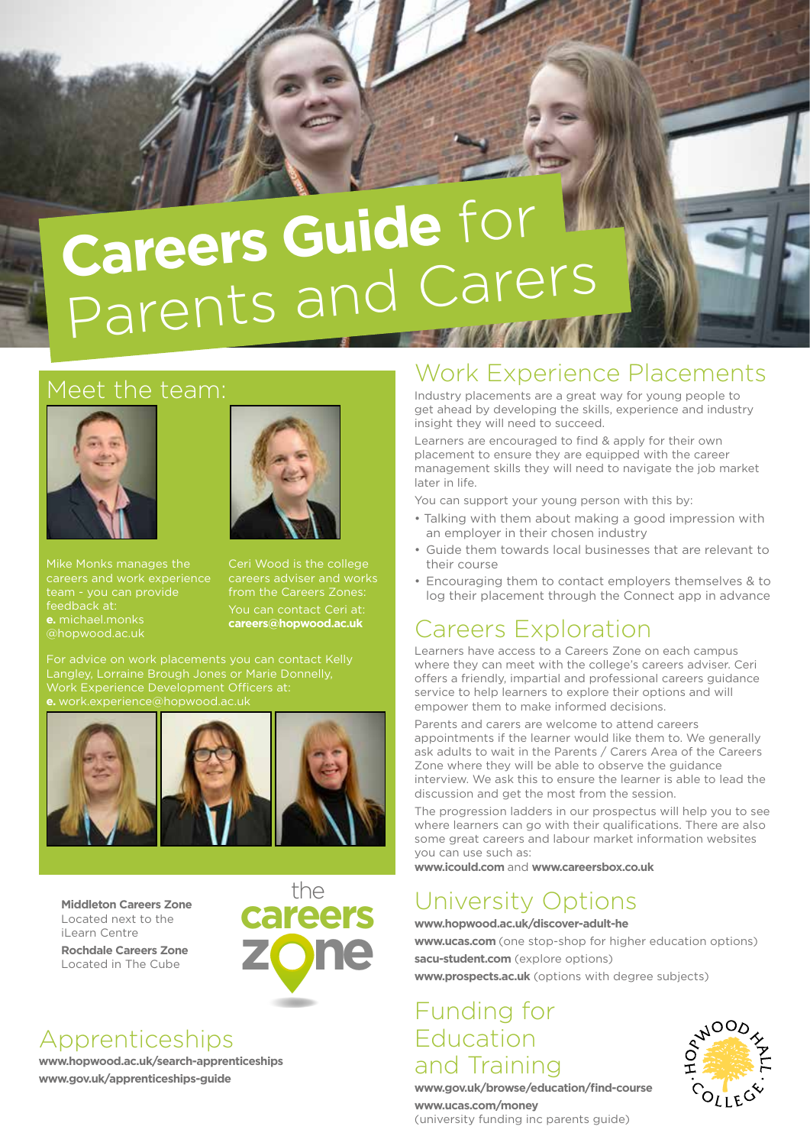# **Careers Guide** for Parents and Carers

#### Meet the team:



Mike Monks manages the careers and work experience team - you can provide feedback at:

@hopwood.ac.uk



Ceri Wood is the college careers adviser and works from the Careers Zones:

You can contact Ceri at: **careers@hopwood.ac.uk**

Work Experience Development Officers at:



**careers Middleton Careers Zone** Located next to the iLearn Centre

**Rochdale Careers Zone** Located in The Cube



#### Apprenticeships

**www.hopwood.ac.uk/search-apprenticeships www.gov.uk/apprenticeships-guide**

#### Work Experience Placements

Industry placements are a great way for young people to get ahead by developing the skills, experience and industry insight they will need to succeed.

Learners are encouraged to find & apply for their own placement to ensure they are equipped with the career management skills they will need to navigate the job market later in life.

You can support your young person with this by:

- Talking with them about making a good impression with an employer in their chosen industry
- Guide them towards local businesses that are relevant to their course
- Encouraging them to contact employers themselves & to log their placement through the Connect app in advance

## Careers Exploration

Learners have access to a Careers Zone on each campus where they can meet with the college's careers adviser. Ceri offers a friendly, impartial and professional careers guidance service to help learners to explore their options and will empower them to make informed decisions.

Parents and carers are welcome to attend careers appointments if the learner would like them to. We generally ask adults to wait in the Parents / Carers Area of the Careers Zone where they will be able to observe the guidance interview. We ask this to ensure the learner is able to lead the discussion and get the most from the session.

The progression ladders in our prospectus will help you to see where learners can go with their qualifications. There are also some great careers and labour market information websites you can use such as:

**www.icould.com** and **www.careersbox.co.uk**

## University Options

**www.hopwood.ac.uk/discover-adult-he**

**www.ucas.com** (one stop-shop for higher education options)

**sacu-student.com** (explore options) **www.prospects.ac.uk** (options with degree subjects)

#### Funding for Education and Training



**www.gov.uk/browse/education/find-course www.ucas.com/money**

(university funding inc parents guide)